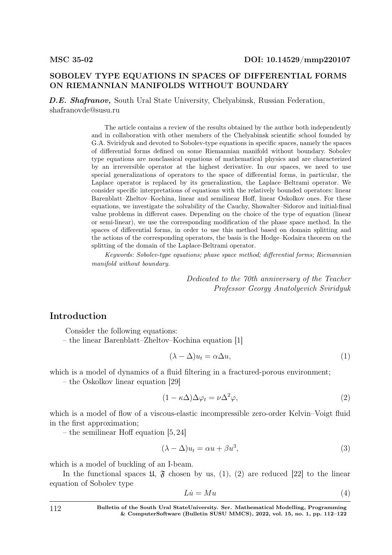# SOBOLEV TYPE EQUATIONS IN SPACES OF DIFFERENTIAL FORMS ON RIEMANNIAN MANIFOLDS WITHOUT BOUNDARY

D.E. Shafranov, South Ural State University, Chelyabinsk, Russian Federation, shafranovde@susu.ru

> The article contains a review of the results obtained by the author both independently and in collaboration with other members of the Chelyabinsk scientific school founded by G.A. Sviridyuk and devoted to Sobolev-type equations in specific spaces, namely the spaces of differential forms defined on some Riemannian manifold without boundary. Sobolev type equations are nonclassical equations of mathematical physics and are characterized by an irreversible operator at the highest derivative. In our spaces, we need to use special generalizations of operators to the space of differential forms, in particular, the Laplace operator is replaced by its generalization, the Laplace–Beltrami operator. We consider specific interpretations of equations with the relatively bounded operators: linear Barenblatt–Zheltov–Kochina, linear and semilinear Hoff, linear Oskolkov ones. For these equations, we investigate the solvability of the Cauchy, Showalter–Sidorov and initial-final value problems in different cases. Depending on the choice of the type of equation (linear or semi-linear), we use the corresponding modification of the phase space method. In the spaces of differential forms, in order to use this method based on domain splitting and the actions of the corresponding operators, the basis is the Hodge–Kodaira theorem on the splitting of the domain of the Laplace-Beltrami operator.

> Keywords: Sobolev-type equations; phase space method; differential forms; Riemannian manifold without boundary.

> > Dedicated to the 70th anniversary of the Teacher Professor Georgy Anatolyevich Sviridyuk

# Introduction

Consider the following equations:

– the linear Barenblatt–Zheltov–Kochina equation [1]

$$
(\lambda - \Delta)u_t = \alpha \Delta u,\tag{1}
$$

which is a model of dynamics of a fluid filtering in a fractured-porous environment;

– the Oskolkov linear equation [29]

$$
(1 - \kappa \Delta) \Delta \varphi_t = \nu \Delta^2 \varphi, \qquad (2)
$$

which is a model of flow of a viscous-elastic incompressible zero-order Kelvin–Voigt fluid in the first approximation;

– the semilinear Hoff equation [5, 24]

$$
(\lambda - \Delta)u_t = \alpha u + \beta u^3,\tag{3}
$$

which is a model of buckling of an I-beam.

In the functional spaces  $\mathfrak{U}, \mathfrak{F}$  chosen by us, (1), (2) are reduced [22] to the linear equation of Sobolev type

$$
Li = Mu \tag{4}
$$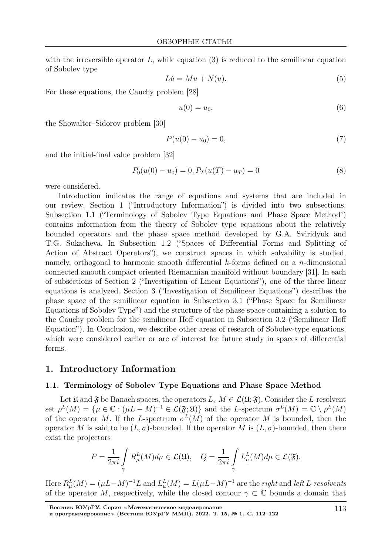with the irreversible operator  $L$ , while equation  $(3)$  is reduced to the semilinear equation of Sobolev type

$$
Lu = Mu + N(u). \tag{5}
$$

For these equations, the Cauchy problem [28]

$$
u(0) = u_0,\tag{6}
$$

the Showalter–Sidorov problem [30]

$$
P(u(0) - u_0) = 0,\t\t(7)
$$

and the initial-final value problem [32]

$$
P_0(u(0) - u_0) = 0, P_T(u(T) - u_T) = 0
$$
\n(8)

were considered.

Introduction indicates the range of equations and systems that are included in our review. Section 1 ("Introductory Information") is divided into two subsections. Subsection 1.1 ("Terminology of Sobolev Type Equations and Phase Space Method") contains information from the theory of Sobolev type equations about the relatively bounded operators and the phase space method developed by G.A. Sviridyuk and T.G. Sukacheva. In Subsection 1.2 ("Spaces of Differential Forms and Splitting of Action of Abstract Operators"), we construct spaces in which solvability is studied, namely, orthogonal to harmonic smooth differential  $k$ -forms defined on a *n*-dimensional connected smooth compact oriented Riemannian manifold without boundary [31]. In each of subsections of Section 2 ("Investigation of Linear Equations"), one of the three linear equations is analyzed. Section 3 ("Investigation of Semilinear Equations") describes the phase space of the semilinear equation in Subsection 3.1 ("Phase Space for Semilinear Equations of Sobolev Type") and the structure of the phase space containing a solution to the Cauchy problem for the semilinear Hoff equation in Subsection 3.2 ("Semilinear Hoff Equation"). In Conclusion, we describe other areas of research of Sobolev-type equations, which were considered earlier or are of interest for future study in spaces of differential forms.

### 1. Introductory Information

## 1.1. Terminology of Sobolev Type Equations and Phase Space Method

Let  $\mathfrak U$  and  $\mathfrak F$  be Banach spaces, the operators  $L, M \in \mathcal L(\mathfrak U; \mathfrak F)$ . Consider the L-resolvent set  $\rho^L(M) = \{ \mu \in \mathbb{C} : (\mu L - M)^{-1} \in \mathcal{L}(\mathfrak{F}; \mathfrak{U}) \}$  and the L-spectrum  $\sigma^L(M) = \mathbb{C} \setminus \rho^L(M)$ of the operator M. If the L-spectrum  $\sigma^L(M)$  of the operator M is bounded, then the operator M is said to be  $(L, \sigma)$ -bounded. If the operator M is  $(L, \sigma)$ -bounded, then there exist the projectors

$$
P = \frac{1}{2\pi i} \int_{\gamma} R_{\mu}^{L}(M) d\mu \in \mathcal{L}(\mathfrak{U}), \quad Q = \frac{1}{2\pi i} \int_{\gamma} L_{\mu}^{L}(M) d\mu \in \mathcal{L}(\mathfrak{F}).
$$

Here  $R_{\mu}^{L}(M) = (\mu L - M)^{-1} L$  and  $L_{\mu}^{L}(M) = L(\mu L - M)^{-1}$  are the *right* and *left* L-resolvents of the operator M, respectively, while the closed contour  $\gamma \subset \mathbb{C}$  bounds a domain that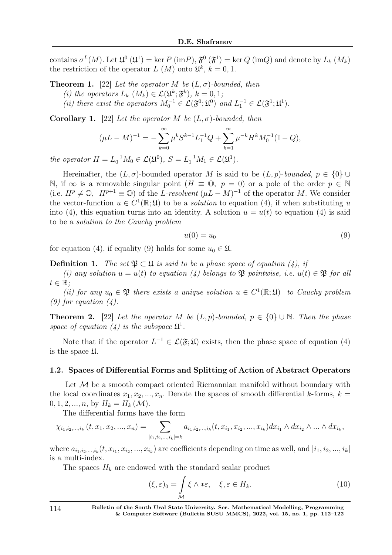contains  $\sigma^L(M)$ . Let  $\mathfrak{U}^0(\mathfrak{U}^1) = \ker P(\mathrm{im}P), \mathfrak{F}^0(\mathfrak{F}^1) = \ker Q(\mathrm{im}Q)$  and denote by  $L_k(M_k)$ the restriction of the operator  $L(M)$  onto  $\mathfrak{U}^k$ ,  $k=0,1$ .

**Theorem 1.** [22] Let the operator M be  $(L, \sigma)$ -bounded, then

(i) the operators  $L_k$   $(M_k) \in \mathcal{L}(\mathfrak{U}^k; \mathfrak{F}^k)$ ,  $k = 0, 1$ ;

(ii) there exist the operators  $M_0^{-1} \in \mathcal{L}(\mathfrak{F}^0; \mathfrak{U}^0)$  and  $L_1^{-1} \in \mathcal{L}(\mathfrak{F}^1; \mathfrak{U}^1)$ .

Corollary 1. [22] Let the operator M be  $(L, \sigma)$ -bounded, then

$$
(\mu L - M)^{-1} = -\sum_{k=0}^{\infty} \mu^k S^{k-1} L_1^{-1} Q + \sum_{k=1}^{\infty} \mu^{-k} H^k M_0^{-1} (\mathbb{I} - Q),
$$

the operator  $H = L_0^{-1} M_0 \in \mathcal{L}(\mathfrak{U}^0), S = L_1^{-1} M_1 \in \mathcal{L}(\mathfrak{U}^1).$ 

Hereinafter, the  $(L, \sigma)$ -bounded operator M is said to be  $(L, p)$ -bounded,  $p \in \{0\} \cup$ N, if ∞ is a removable singular point  $(H \equiv \mathbb{O}, p = 0)$  or a pole of the order  $p \in \mathbb{N}$ (i.e.  $H^p \neq \mathbb{O}$ ,  $H^{p+1} \equiv \mathbb{O}$ ) of the L-resolvent  $(\mu L - M)^{-1}$  of the operator M. We consider the vector-function  $u \in C^1(\mathbb{R}; \mathfrak{U})$  to be a *solution* to equation (4), if when substituting u into (4), this equation turns into an identity. A solution  $u = u(t)$  to equation (4) is said to be a solution to the Cauchy problem

$$
u(0) = u_0 \tag{9}
$$

for equation (4), if equality (9) holds for some  $u_0 \in \mathfrak{U}$ .

**Definition 1.** The set  $\mathfrak{P} \subset \mathfrak{U}$  is said to be a phase space of equation (4), if

(i) any solution  $u = u(t)$  to equation (4) belongs to  $\mathfrak P$  pointwise, i.e.  $u(t) \in \mathfrak P$  for all  $t \in \mathbb{R}$ ;

(ii) for any  $u_0 \in \mathfrak{P}$  there exists a unique solution  $u \in C^1(\mathbb{R}; \mathfrak{U})$  to Cauchy problem  $(9)$  for equation  $(4)$ .

**Theorem 2.** [22] Let the operator M be  $(L, p)$ -bounded,  $p \in \{0\} \cup \mathbb{N}$ . Then the phase space of equation (4) is the subspace  $\mathfrak{U}^1$ .

Note that if the operator  $L^{-1} \in \mathcal{L}(\mathfrak{F};\mathfrak{U})$  exists, then the phase space of equation (4) is the space U.

#### 1.2. Spaces of Differential Forms and Splitting of Action of Abstract Operators

Let  $\mathcal M$  be a smooth compact oriented Riemannian manifold without boundary with the local coordinates  $x_1, x_2, ..., x_n$ . Denote the spaces of smooth differential k-forms,  $k =$  $0, 1, 2, ..., n$ , by  $H_k = H_k(\mathcal{M})$ .

The differential forms have the form

$$
\chi_{i_1,i_2,...,i_k}(t,x_1,x_2,...,x_n) = \sum_{|i_1,i_2,...,i_k|=k} a_{i_1,i_2,...,i_k}(t,x_{i_1},x_{i_2},...,x_{i_k}) dx_{i_1} \wedge dx_{i_2} \wedge ... \wedge dx_{i_k},
$$

where  $a_{i_1,i_2,...,i_k}(t, x_{i_1}, x_{i_2},..., x_{i_k})$  are coefficients depending on time as well, and  $|i_1,i_2,...,i_k|$ is a multi-index.

The spaces  $H_k$  are endowed with the standard scalar product

$$
(\xi, \varepsilon)_0 = \int_{\mathcal{M}} \xi \wedge * \varepsilon, \quad \xi, \varepsilon \in H_k. \tag{10}
$$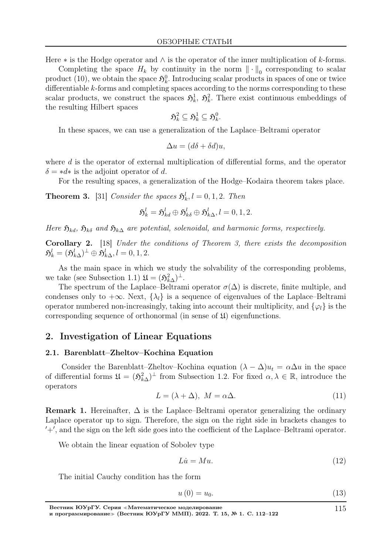Here  $*$  is the Hodge operator and  $\wedge$  is the operator of the inner multiplication of k-forms.

Completing the space  $H_k$  by continuity in the norm  $\|\cdot\|_0$  corresponding to scalar product (10), we obtain the space  $\mathfrak{H}_k^0$ . Introducing scalar products in spaces of one or twice differentiable k-forms and completing spaces according to the norms corresponding to these scalar products, we construct the spaces  $\mathfrak{H}_k^1$ ,  $\mathfrak{H}_k^2$ . There exist continuous embeddings of the resulting Hilbert spaces

$$
\mathfrak{H}^2_k\subseteq \mathfrak{H}^1_k\subseteq \mathfrak{H}^0_k.
$$

In these spaces, we can use a generalization of the Laplace–Beltrami operator

$$
\Delta u = (d\delta + \delta d)u,
$$

where d is the operator of external multiplication of differential forms, and the operator  $\delta = *d*$  is the adjoint operator of d.

For the resulting spaces, a generalization of the Hodge–Kodaira theorem takes place.

**Theorem 3.** [31] Consider the spaces  $\mathfrak{H}_k^l, l = 0, 1, 2$ . Then

$$
\mathfrak{H}^l_k=\mathfrak{H}^l_{kd}\oplus \mathfrak{H}^l_{k\delta}\oplus \mathfrak{H}^l_{k\Delta}, l=0,1,2.
$$

Here  $\mathfrak{H}_{kd}$ ,  $\mathfrak{H}_{k\delta}$  and  $\mathfrak{H}_{k\Delta}$  are potential, solenoidal, and harmonic forms, respectively.

Corollary 2. [18] Under the conditions of Theorem 3, there exists the decomposition  $\mathfrak{H}^l_k = (\mathfrak{H}^l_{k\Delta})^\perp \oplus \mathfrak{H}^l_{k\Delta}, l=0,1,2.$ 

As the main space in which we study the solvability of the corresponding problems, we take (see Subsection 1.1)  $\mathfrak{U} = (\mathfrak{H}_{k\Delta}^2)^{\perp}$ .

The spectrum of the Laplace–Beltrami operator  $\sigma(\Delta)$  is discrete, finite multiple, and condenses only to  $+\infty$ . Next,  $\{\lambda_l\}$  is a sequence of eigenvalues of the Laplace–Beltrami operator numbered non-increasingly, taking into account their multiplicity, and  $\{\varphi_l\}$  is the corresponding sequence of orthonormal (in sense of  $\mathfrak{U}$ ) eigenfunctions.

## 2. Investigation of Linear Equations

#### 2.1. Barenblatt–Zheltov–Kochina Equation

Consider the Barenblatt–Zheltov–Kochina equation  $(\lambda - \Delta)u_t = \alpha \Delta u$  in the space of differential forms  $\mathfrak{U} = (\mathfrak{H}_{k\Delta}^2)^{\perp}$  from Subsection 1.2. For fixed  $\alpha, \lambda \in \mathbb{R}$ , introduce the operators

$$
L = (\lambda + \Delta), \ M = \alpha \Delta. \tag{11}
$$

**Remark 1.** Hereinafter,  $\Delta$  is the Laplace–Beltrami operator generalizing the ordinary Laplace operator up to sign. Therefore, the sign on the right side in brackets changes to ′+′ , and the sign on the left side goes into the coefficient of the Laplace–Beltrami operator.

We obtain the linear equation of Sobolev type

$$
Li = Mu.
$$
 (12)

The initial Cauchy condition has the form

$$
u(0) = u_0. \tag{13}
$$

115

Вестник ЮУрГУ. Серия <sup>≪</sup>Математическое моделирование и программирование<sup>≫</sup> (Вестник ЮУрГУ ММП). 2022. Т. 15, № 1. С. 112–122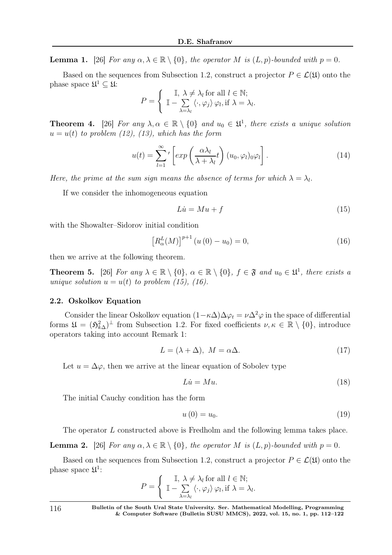**Lemma 1.** [26] For any  $\alpha, \lambda \in \mathbb{R} \setminus \{0\}$ , the operator M is  $(L, p)$ -bounded with  $p = 0$ .

Based on the sequences from Subsection 1.2, construct a projector  $P \in \mathcal{L}(\mathfrak{U})$  onto the phase space  $\mathfrak{U}^1 \subseteq \mathfrak{U}$ :

$$
P = \begin{cases} \mathbb{I}, \ \lambda \neq \lambda_l \text{ for all } l \in \mathbb{N}; \\ \mathbb{I} - \sum_{\lambda = \lambda_l} \langle \cdot, \varphi_j \rangle \varphi_l, \text{if } \lambda = \lambda_l. \end{cases}
$$

**Theorem 4.** [26] For any  $\lambda, \alpha \in \mathbb{R} \setminus \{0\}$  and  $u_0 \in \mathfrak{U}^1$ , there exists a unique solution  $u = u(t)$  to problem (12), (13), which has the form

$$
u(t) = \sum_{l=1}^{\infty} \left[ exp\left(\frac{\alpha \lambda_l}{\lambda + \lambda_l} t\right) (u_0, \varphi_l) 0 \varphi_l \right]. \tag{14}
$$

Here, the prime at the sum sign means the absence of terms for which  $\lambda = \lambda_l$ .

If we consider the inhomogeneous equation

$$
Lu = Mu + f \tag{15}
$$

with the Showalter–Sidorov initial condition

$$
\left[R_{\alpha}^{L}(M)\right]^{p+1}\left(u\left(0\right)-u_{0}\right)=0,\tag{16}
$$

then we arrive at the following theorem.

**Theorem 5.** [26] For any  $\lambda \in \mathbb{R} \setminus \{0\}$ ,  $\alpha \in \mathbb{R} \setminus \{0\}$ ,  $f \in \mathfrak{F}$  and  $u_0 \in \mathfrak{U}^1$ , there exists a unique solution  $u = u(t)$  to problem (15), (16).

#### 2.2. Oskolkov Equation

Consider the linear Oskolkov equation  $(1 - \kappa \Delta) \Delta \varphi_t = \nu \Delta^2 \varphi$  in the space of differential forms  $\mathfrak{U} = (\mathfrak{H}_{k\Delta}^2)^{\perp}$  from Subsection 1.2. For fixed coefficients  $\nu, \kappa \in \mathbb{R} \setminus \{0\}$ , introduce operators taking into account Remark 1:

$$
L = (\lambda + \Delta), \ M = \alpha \Delta. \tag{17}
$$

Let  $u = \Delta \varphi$ , then we arrive at the linear equation of Sobolev type

$$
Li = Mu.
$$
 (18)

The initial Cauchy condition has the form

$$
u(0) = u_0. \tag{19}
$$

The operator L constructed above is Fredholm and the following lemma takes place.

**Lemma 2.** [26] For any  $\alpha, \lambda \in \mathbb{R} \setminus \{0\}$ , the operator M is  $(L, p)$ -bounded with  $p = 0$ .

Based on the sequences from Subsection 1.2, construct a projector  $P \in \mathcal{L}(\mathfrak{U})$  onto the phase space  $\mathfrak{U}^1$ :

$$
P = \begin{cases} \mathbb{I}, \ \lambda \neq \lambda_l \text{ for all } l \in \mathbb{N}; \\ \mathbb{I} - \sum_{\lambda = \lambda_l} \langle \cdot, \varphi_j \rangle \varphi_l, \text{if } \lambda = \lambda_l. \end{cases}
$$

116 Bulletin of the South Ural State University. Ser. Mathematical Modelling, Programming & Computer Software (Bulletin SUSU MMCS), 2022, vol. 15, no. 1, pp. 112–122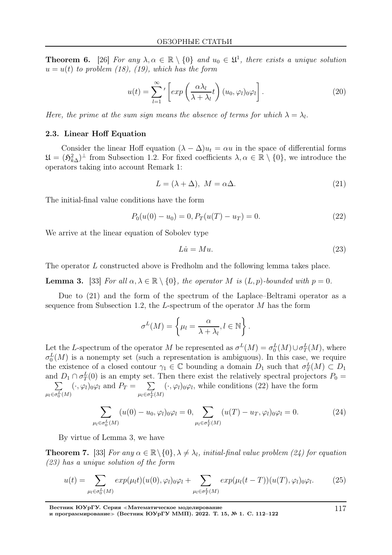**Theorem 6.** [26] For any  $\lambda, \alpha \in \mathbb{R} \setminus \{0\}$  and  $u_0 \in \mathfrak{U}^1$ , there exists a unique solution  $u = u(t)$  to problem (18), (19), which has the form

$$
u(t) = \sum_{l=1}^{\infty} \left[ exp\left(\frac{\alpha \lambda_l}{\lambda + \lambda_l} t\right) (u_0, \varphi_l) 0 \varphi_l \right].
$$
 (20)

Here, the prime at the sum sign means the absence of terms for which  $\lambda = \lambda_l$ .

## 2.3. Linear Hoff Equation

Consider the linear Hoff equation  $(\lambda - \Delta)u_t = \alpha u$  in the space of differential forms  $\mathfrak{U} = (\mathfrak{H}_{k\Delta}^2)^{\perp}$  from Subsection 1.2. For fixed coefficients  $\lambda, \alpha \in \mathbb{R} \setminus \{0\}$ , we introduce the operators taking into account Remark 1:

$$
L = (\lambda + \Delta), \ M = \alpha \Delta. \tag{21}
$$

The initial-final value conditions have the form

$$
P_0(u(0) - u_0) = 0, P_T(u(T) - u_T) = 0.
$$
\n(22)

We arrive at the linear equation of Sobolev type

$$
Li = Mu.
$$
\n<sup>(23)</sup>

The operator L constructed above is Fredholm and the following lemma takes place.

**Lemma 3.** [33] For all  $\alpha, \lambda \in \mathbb{R} \setminus \{0\}$ , the operator M is  $(L, p)$ -bounded with  $p = 0$ .

Due to (21) and the form of the spectrum of the Laplace–Beltrami operator as a sequence from Subsection 1.2, the  $L$ -spectrum of the operator  $M$  has the form

$$
\sigma^{L}(M) = \left\{ \mu_{l} = \frac{\alpha}{\lambda + \lambda_{l}}, l \in \mathbb{N} \right\}.
$$

Let the L-spectrum of the operator M be represented as  $\sigma^L(M) = \sigma_0^L(M) \cup \sigma_T^L(M)$ , where  $\sigma_0^L(M)$  is a nonempty set (such a representation is ambiguous). In this case, we require the existence of a closed contour  $\gamma_1 \in \mathbb{C}$  bounding a domain  $D_1$  such that  $\sigma_T^L(M) \subset D_1$ and  $D_1 \cap \sigma_T^L(0)$  is an empty set. Then there exist the relatively spectral projectors  $P_0 =$  $\sum$  $\mu_l \in \sigma_0^L(M)$  $(\cdot, \varphi_l)_{0} \varphi_l$  and  $P_T = \sum$  $\mu_l \in \sigma_T^L(M)$  $(\cdot, \varphi_l)_{0} \varphi_l$ , while conditions (22) have the form

$$
\sum_{\mu_l \in \sigma_0^L(M)} (u(0) - u_0, \varphi_l)_{0} \varphi_l = 0, \sum_{\mu_l \in \sigma_T^L(M)} (u(T) - u_T, \varphi_l)_{0} \varphi_l = 0.
$$
 (24)

By virtue of Lemma 3, we have

**Theorem 7.** [33] For any  $\alpha \in \mathbb{R} \setminus \{0\}$ ,  $\lambda \neq \lambda_l$ , initial-final value problem (24) for equation (23) has a unique solution of the form

$$
u(t) = \sum_{\mu_l \in \sigma_0^L(M)} exp(\mu_l t)(u(0), \varphi_l) \circ \varphi_l + \sum_{\mu_l \in \sigma_T^L(M)} exp(\mu_l (t - T))(u(T), \varphi_l) \circ \varphi_l.
$$
 (25)

Вестник ЮУрГУ. Серия <sup>≪</sup>Математическое моделирование

и программирование<sup>≫</sup> (Вестник ЮУрГУ ММП). 2022. Т. 15, № 1. С. 112–122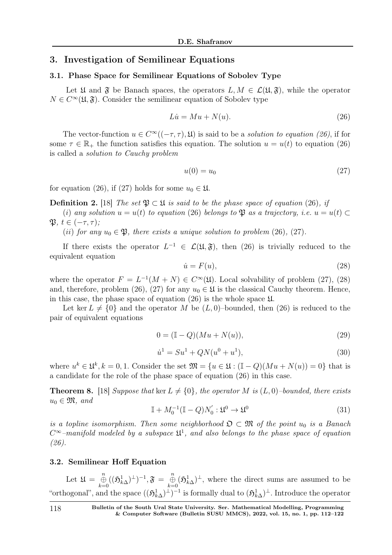# 3. Investigation of Semilinear Equations

#### 3.1. Phase Space for Semilinear Equations of Sobolev Type

Let  $\mathfrak U$  and  $\mathfrak F$  be Banach spaces, the operators  $L, M \in \mathcal L(\mathfrak U, \mathfrak F)$ , while the operator  $N \in C^{\infty}(\mathfrak{U}, \mathfrak{F})$ . Consider the semilinear equation of Sobolev type

$$
Lu = Mu + N(u). \tag{26}
$$

The vector-function  $u \in C^{\infty}((-\tau, \tau), \mathfrak{U})$  is said to be a *solution to equation (26)*, if for some  $\tau \in \mathbb{R}_+$  the function satisfies this equation. The solution  $u = u(t)$  to equation (26) is called a solution to Cauchy problem

$$
u(0) = u_0 \tag{27}
$$

for equation (26), if (27) holds for some  $u_0 \in \mathfrak{U}$ .

**Definition 2.** [18] The set  $\mathfrak{P} \subset \mathfrak{U}$  is said to be the phase space of equation (26), if

(i) any solution  $u = u(t)$  to equation (26) belongs to  $\mathfrak{P}$  as a trajectory, i.e.  $u = u(t) \subset$  $\mathfrak{P}, t \in (-\tau, \tau);$ 

(ii) for any  $u_0 \in \mathfrak{P}$ , there exists a unique solution to problem (26), (27).

If there exists the operator  $L^{-1} \in \mathcal{L}(\mathfrak{U}, \mathfrak{F})$ , then (26) is trivially reduced to the equivalent equation

$$
\dot{u} = F(u),\tag{28}
$$

where the operator  $F = L^{-1}(M+N) \in C^{\infty}(\mathfrak{U})$ . Local solvability of problem (27), (28) and, therefore, problem (26), (27) for any  $u_0 \in \mathfrak{U}$  is the classical Cauchy theorem. Hence, in this case, the phase space of equation  $(26)$  is the whole space  $\mathfrak{U}$ .

Let ker  $L \neq \{0\}$  and the operator M be  $(L, 0)$ -bounded, then (26) is reduced to the pair of equivalent equations

$$
0 = (\mathbb{I} - Q)(Mu + N(u)),\tag{29}
$$

$$
\dot{u}^1 = Su^1 + QN(u^0 + u^1),\tag{30}
$$

where  $u^k \in \mathfrak{U}^k, k = 0, 1$ . Consider the set  $\mathfrak{M} = \{u \in \mathfrak{U} : (\mathbb{I} - Q)(Mu + N(u)) = 0\}$  that is a candidate for the role of the phase space of equation (26) in this case.

**Theorem 8.** [18] Suppose that ker  $L \neq \{0\}$ , the operator M is  $(L, 0)$ -bounded, there exists  $u_0 \in \mathfrak{M}$ , and

$$
\mathbb{I} + M_0^{-1} (\mathbb{I} - Q) N_0' : \mathfrak{U}^0 \to \mathfrak{U}^0 \tag{31}
$$

is a topline isomorphism. Then some neighborhood  $\mathfrak{O} \subset \mathfrak{M}$  of the point  $u_0$  is a Banach  $C^{\infty}$ -manifold modeled by a subspace  $\mathfrak{U}^1$ , and also belongs to the phase space of equation (26).

#### 3.2. Semilinear Hoff Equation

Let  $\mathfrak{U} = \bigoplus_{k=0}^n ((\mathfrak{H}_{k\Delta}^1)^{\perp})^{-1}, \mathfrak{F} = \bigoplus_{k=0}^n (\mathfrak{H}_{k\Delta}^1)^{\perp},$  where the direct sums are assumed to be "orthogonal", and the space  $((\mathfrak{H}_{k\Delta}^1)^{\perp})^{-1}$  is formally dual to  $(\mathfrak{H}_{k\Delta}^1)^{\perp}$ . Introduce the operator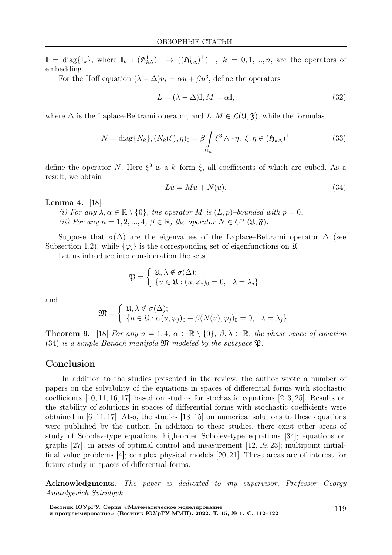$\mathbb{I} = \text{diag}\{\mathbb{I}_k\},\$  where  $\mathbb{I}_k : (\mathfrak{H}_{k\Delta}^1)^{\perp} \to ((\mathfrak{H}_{k\Delta}^1)^{\perp})^{-1},\$   $k = 0, 1, ..., n$ , are the operators of embedding.

For the Hoff equation  $(\lambda - \Delta)u_t = \alpha u + \beta u^3$ , define the operators

$$
L = (\lambda - \Delta)\mathbb{I}, M = \alpha\mathbb{I},\tag{32}
$$

where  $\Delta$  is the Laplace-Beltrami operator, and  $L, M \in \mathcal{L}(\mathfrak{U}, \mathfrak{F})$ , while the formulas

$$
N = \text{diag}\{N_k\}, (N_k(\xi), \eta)_0 = \beta \int_{\Omega_n} \xi^3 \wedge \ast \eta, \ \xi, \eta \in (\mathfrak{H}_{k\Delta}^1)^\perp \tag{33}
$$

define the operator N. Here  $\xi^3$  is a k-form  $\xi$ , all coefficients of which are cubed. As a result, we obtain

$$
Li = Mu + N(u). \tag{34}
$$

#### Lemma 4. [18]

(i) For any  $\lambda, \alpha \in \mathbb{R} \setminus \{0\}$ , the operator M is  $(L, p)$ -bounded with  $p = 0$ . (ii) For any  $n = 1, 2, ..., 4, \beta \in \mathbb{R}$ , the operator  $N \in C^{\infty}(\mathfrak{U}, \mathfrak{F})$ .

Suppose that  $\sigma(\Delta)$  are the eigenvalues of the Laplace–Beltrami operator  $\Delta$  (see Subsection 1.2), while  $\{\varphi_i\}$  is the corresponding set of eigenfunctions on  $\mathfrak{U}$ .

Let us introduce into consideration the sets

$$
\mathfrak{P} = \begin{cases} \mathfrak{U}, \lambda \notin \sigma(\Delta); \\ \{u \in \mathfrak{U} : (u, \varphi_j)_0 = 0, \lambda = \lambda_j \} \end{cases}
$$

and

$$
\mathfrak{M} = \begin{cases} \mathfrak{U}, \lambda \notin \sigma(\Delta); \\ \{u \in \mathfrak{U} : \alpha(u,\varphi_j)_0 + \beta(N(u),\varphi_j)_0 = 0, \quad \lambda = \lambda_j \}. \end{cases}
$$

**Theorem 9.** [18] For any  $n = \overline{1, 4}$ ,  $\alpha \in \mathbb{R} \setminus \{0\}$ ,  $\beta, \lambda \in \mathbb{R}$ , the phase space of equation (34) is a simple Banach manifold  $\mathfrak M$  modeled by the subspace  $\mathfrak P$ .

# Conclusion

In addition to the studies presented in the review, the author wrote a number of papers on the solvability of the equations in spaces of differential forms with stochastic coefficients [10, 11, 16, 17] based on studies for stochastic equations [2, 3, 25]. Results on the stability of solutions in spaces of differential forms with stochastic coefficients were obtained in [6–11, 17]. Also, the studies [13–15] on numerical solutions to these equations were published by the author. In addition to these studies, there exist other areas of study of Sobolev-type equations: high-order Sobolev-type equations [34]; equations on graphs [27]; in areas of optimal control and measurement [12, 19, 23]; multipoint initialfinal value problems [4]; complex physical models [20, 21]. These areas are of interest for future study in spaces of differential forms.

Acknowledgments. The paper is dedicated to my supervisor, Professor Georgy Anatolyevich Sviridyuk.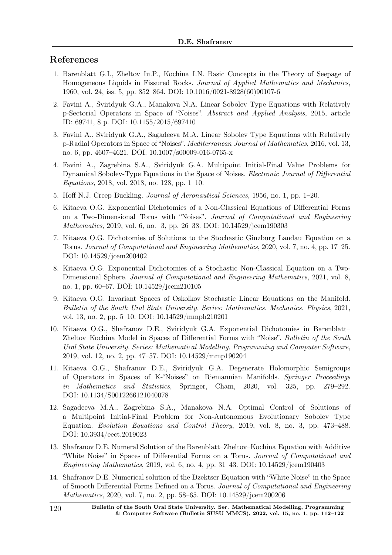# References

- 1. Barenblatt G.I., Zheltov Iu.P., Kochina I.N. Basic Concepts in the Theory of Seepage of Homogeneous Liquids in Fissured Rocks. Journal of Applied Mathematics and Mechanics, 1960, vol. 24, iss. 5, pp. 852–864. DOI: 10.1016/0021-8928(60)90107-6
- 2. Favini A., Sviridyuk G.A., Manakova N.A. Linear Sobolev Type Equations with Relatively p-Sectorial Operators in Space of "Noises". Abstract and Applied Analysis, 2015, article ID: 69741, 8 p. DOI: 10.1155/2015/697410
- 3. Favini A., Sviridyuk G.A., Sagadeeva M.A. Linear Sobolev Type Equations with Relatively p-Radial Operators in Space of "Noises". Mediterranean Journal of Mathematics, 2016, vol. 13, no. 6, pp. 4607–4621. DOI: 10.1007/s00009-016-0765-x
- 4. Favini A., Zagrebina S.A., Sviridyuk G.A. Multipoint Initial-Final Value Problems for Dynamical Sobolev-Type Equations in the Space of Noises. *Electronic Journal of Differential* Equations, 2018, vol. 2018, no. 128, pp. 1–10.
- 5. Hoff N.J. Creep Buckling. Journal of Aeronautical Sciences, 1956, no. 1, pp. 1–20.
- 6. Kitaeva O.G. Exponential Dichotomies of a Non-Classical Equations of Differential Forms on a Two-Dimensional Torus with "Noises". Journal of Computational and Engineering Mathematics, 2019, vol. 6, no. 3, pp. 26–38. DOI: 10.14529/jcem190303
- 7. Kitaeva O.G. Dichotomies of Solutions to the Stochastic Ginzburg–Landau Equation on a Torus. Journal of Computational and Engineering Mathematics, 2020, vol. 7, no. 4, pp. 17–25. DOI: 10.14529/jcem200402
- 8. Kitaeva O.G. Exponential Dichotomies of a Stochastic Non-Classical Equation on a Two-Dimensional Sphere. Journal of Computational and Engineering Mathematics, 2021, vol. 8, no. 1, pp. 60–67. DOI: 10.14529/jcem210105
- 9. Kitaeva O.G. Invariant Spaces of Oskolkov Stochastic Linear Equations on the Manifold. Bulletin of the South Ural State University. Series: Mathematics. Mechanics. Physics, 2021, vol. 13, no. 2, pp. 5–10. DOI: 10.14529/mmph210201
- 10. Kitaeva O.G., Shafranov D.E., Sviridyuk G.A. Exponential Dichotomies in Barenblatt– Zheltov–Kochina Model in Spaces of Differential Forms with "Noise". Bulletin of the South Ural State University. Series: Mathematical Modelling, Programming and Computer Software, 2019, vol. 12, no. 2, pp. 47–57. DOI: 10.14529/mmp190204
- 11. Kitaeva O.G., Shafranov D.E., Sviridyuk G.A. Degenerate Holomorphic Semigroups of Operators in Spaces of K-"Noises" on Riemannian Manifolds. Springer Proceedings in Mathematics and Statistics, Springer, Cham, 2020, vol. 325, pp. 279–292. DOI: 10.1134/S0012266121040078
- 12. Sagadeeva M.A., Zagrebina S.A., Manakova N.A. Optimal Control of Solutions of a Multipoint Initial-Final Problem for Non-Autonomous Evolutionary Sobolev Type Equation. Evolution Equations and Control Theory, 2019, vol. 8, no. 3, pp. 473–488. DOI: 10.3934/eect.2019023
- 13. Shafranov D.E. Numeral Solution of the Barenblatt–Zheltov–Kochina Equation with Additive "White Noise" in Spaces of Differential Forms on a Torus. Journal of Computational and Engineering Mathematics, 2019, vol. 6, no. 4, pp. 31–43. DOI: 10.14529/jcem190403
- 14. Shafranov D.E. Numerical solution of the Dzektser Equation with "White Noise" in the Space of Smooth Differential Forms Defined on a Torus. Journal of Computational and Engineering Mathematics, 2020, vol. 7, no. 2, pp. 58–65. DOI: 10.14529/jcem200206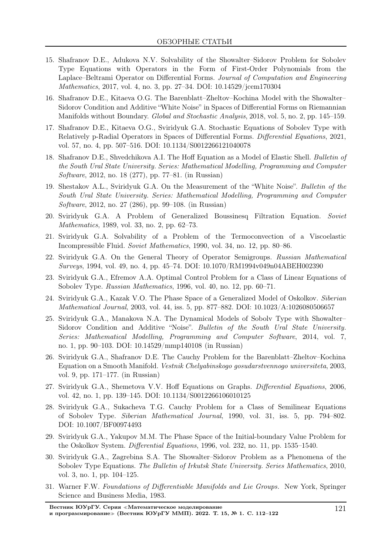- 15. Shafranov D.E., Adukova N.V. Solvability of the Showalter–Sidorov Problem for Sobolev Type Equations with Operators in the Form of First-Order Polynomials from the Laplace–Beltrami Operator on Differential Forms. Journal of Computation and Engineering Mathematics, 2017, vol. 4, no. 3, pp. 27–34. DOI: 10.14529/jcem170304
- 16. Shafranov D.E., Kitaeva O.G. The Barenblatt–Zheltov–Kochina Model with the Showalter– Sidorov Condition and Аdditive "White Noise" in Spaces of Differential Forms on Riemannian Manifolds without Boundary. Global and Stochastic Analysis, 2018, vol. 5, no. 2, pp. 145–159.
- 17. Shafranov D.E., Kitaeva O.G., Sviridyuk G.A. Stochastic Equations of Sobolev Type with Relatively p-Radial Operators in Spaces of Differential Forms. Differential Equations, 2021, vol. 57, no. 4, pp. 507–516. DOI: 10.1134/S0012266121040078
- 18. Shafranov D.E., Shvedchikova A.I. The Hoff Equation as a Model of Elastic Shell. Bulletin of the South Ural State University. Series: Mathematical Modelling, Programming and Computer Software, 2012, no. 18 (277), pp. 77–81. (in Russian)
- 19. Shestakov A.L., Sviridyuk G.A. On the Measurement of the "White Noise". Bulletin of the South Ural State University. Series: Mathematical Modelling, Programming and Computer Software, 2012, no. 27 (286), pp. 99–108. (in Russian)
- 20. Sviridyuk G.A. A Problem of Generalized Boussinesq Filtration Equation. Soviet Mathematics, 1989, vol. 33, no. 2, pp. 62–73.
- 21. Sviridyuk G.A. Solvability of a Problem of the Termoconvection of a Viscoelastic Incompressible Fluid. Soviet Mathematics, 1990, vol. 34, no. 12, pp. 80–86.
- 22. Sviridyuk G.A. On the General Theory of Operator Semigroups. Russian Mathematical Surveys, 1994, vol. 49, no. 4, pp. 45–74. DOI: 10.1070/RM1994v049n04ABEH002390
- 23. Sviridyuk G.A., Efremov A.A. Optimal Control Problem for a Class of Linear Equations of Sobolev Type. Russian Mathematics, 1996, vol. 40, no. 12, pp. 60–71.
- 24. Sviridyuk G.A., Kazak V.O. The Phase Space of a Generalized Model of Oskolkov. Siberian Mathematical Journal, 2003, vol. 44, iss. 5, pp. 877–882. DOI: 10.1023/A:1026080506657
- 25. Sviridyuk G.A., Manakova N.A. The Dynamical Models of Sobolv Type with Showalter– Sidorov Condition and Additive "Noise". Bulletin of the South Ural State University. Series: Mathematical Modelling, Programming and Computer Software, 2014, vol. 7, no. 1, pp. 90–103. DOI: 10.14529/mmp140108 (in Russian)
- 26. Sviridyuk G.A., Shafranov D.E. The Cauchy Problem for the Barenblatt–Zheltov–Kochina Equation on a Smooth Manifold. Vestnik Chelyabinskogo gosudarstvennogo universiteta, 2003, vol. 9, pp. 171–177. (in Russian)
- 27. Sviridyuk G.A., Shemetova V.V. Hoff Equations on Graphs. Differential Equations, 2006, vol. 42, no. 1, pp. 139–145. DOI: 10.1134/S0012266106010125
- 28. Sviridyuk G.A., Sukacheva T.G. Cauchy Problem for a Class of Semilinear Equations of Sobolev Type. Siberian Mathematical Journal, 1990, vol. 31, iss. 5, pp. 794–802. DOI: 10.1007/BF00974493
- 29. Sviridyuk G.A., Yakupov M.M. The Phase Space of the Initial-boundary Value Problem for the Oskolkov System. Differential Equations, 1996, vol. 232, no. 11, pp. 1535–1540.
- 30. Sviridyuk G.A., Zagrebina S.A. The Showalter–Sidorov Problem as a Phenomena of the Sobolev Type Equations. The Bulletin of Irkutsk State University. Series Mathematics, 2010, vol. 3, no. 1, pp. 104–125.
- 31. Warner F.W. Foundations of Differentiable Manifolds and Lie Groups. New York, Springer Science and Business Media, 1983.

Вестник ЮУрГУ. Серия <sup>≪</sup>Математическое моделирование и программирование» (Вестник ЮУрГУ ММП). 2022. Т. 15, № 1. С. 112-122